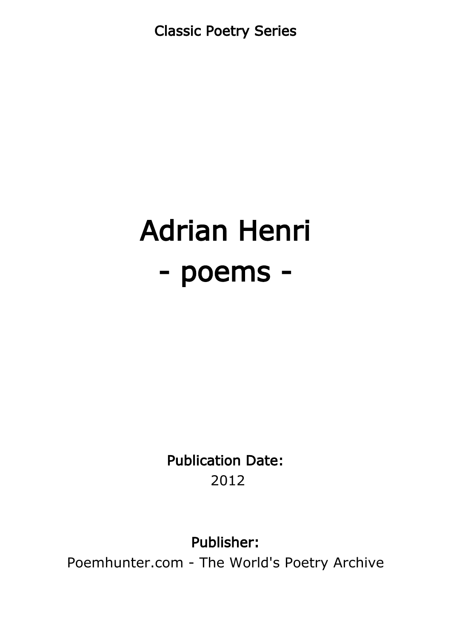Classic Poetry Series

# Adrian Henri - poems -

Publication Date: 2012

Publisher:

Poemhunter.com - The World's Poetry Archive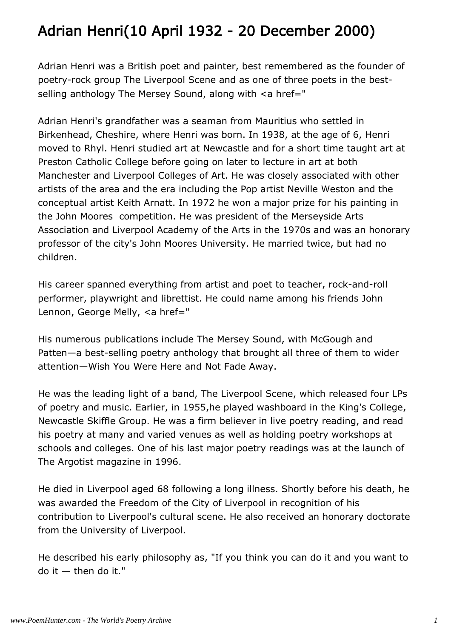# Adrian Henri(10 April 1932 - 20 December 2000)

Adrian Henri was a British poet and painter, best remembered as the founder of poetry-rock group The Liverpool Scene and as one of three poets in the bestselling anthology The Mersey Sound, along with <a href="

Adrian Henri's grandfather was a seaman from Mauritius who settled in Birkenhead, Cheshire, where Henri was born. In 1938, at the age of 6, Henri moved to Rhyl. Henri studied art at Newcastle and for a short time taught art at Preston Catholic College before going on later to lecture in art at both Manchester and Liverpool Colleges of Art. He was closely associated with other artists of the area and the era including the Pop artist Neville Weston and the conceptual artist Keith Arnatt. In 1972 he won a major prize for his painting in the John Moores competition. He was president of the Merseyside Arts Association and Liverpool Academy of the Arts in the 1970s and was an honorary professor of the city's John Moores University. He married twice, but had no children.

His career spanned everything from artist and poet to teacher, rock-and-roll performer, playwright and librettist. He could name among his friends John Lennon, George Melly, <a href="

His numerous publications include The Mersey Sound, with McGough and Patten—a best-selling poetry anthology that brought all three of them to wider attention—Wish You Were Here and Not Fade Away.

He was the leading light of a band, The Liverpool Scene, which released four LPs of poetry and music. Earlier, in 1955,he played washboard in the King's College, Newcastle Skiffle Group. He was a firm believer in live poetry reading, and read his poetry at many and varied venues as well as holding poetry workshops at schools and colleges. One of his last major poetry readings was at the launch of The Argotist magazine in 1996.

He died in Liverpool aged 68 following a long illness. Shortly before his death, he was awarded the Freedom of the City of Liverpool in recognition of his contribution to Liverpool's cultural scene. He also received an honorary doctorate from the University of Liverpool.

He described his early philosophy as, "If you think you can do it and you want to do it — then do it."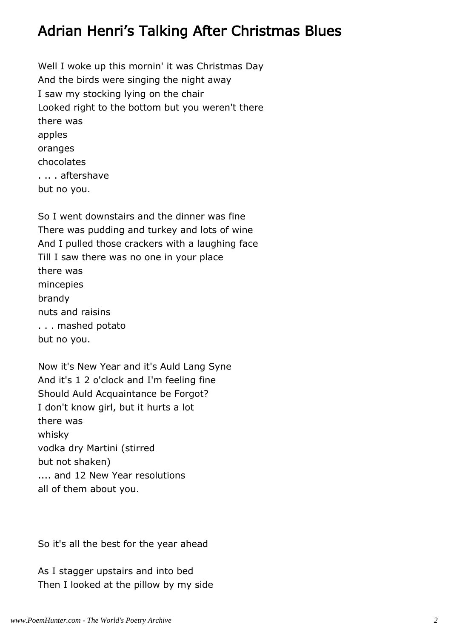# Adrian Henri's Talking After Christmas Blues

Well I woke up this mornin' it was Christmas Day And the birds were singing the night away I saw my stocking lying on the chair Looked right to the bottom but you weren't there there was apples oranges chocolates . .. . aftershave but no you.

So I went downstairs and the dinner was fine There was pudding and turkey and lots of wine And I pulled those crackers with a laughing face Till I saw there was no one in your place there was mincepies brandy nuts and raisins . . . mashed potato but no you.

Now it's New Year and it's Auld Lang Syne And it's 1 2 o'clock and I'm feeling fine Should Auld Acquaintance be Forgot? I don't know girl, but it hurts a lot there was whisky vodka dry Martini (stirred but not shaken) .... and 12 New Year resolutions all of them about you.

So it's all the best for the year ahead

As I stagger upstairs and into bed Then I looked at the pillow by my side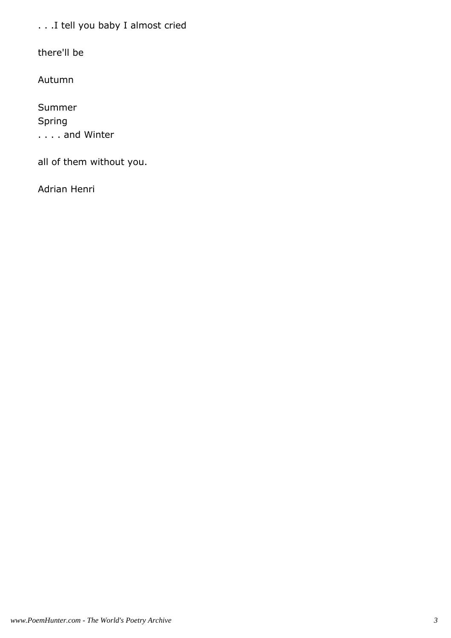. . .I tell you baby I almost cried

there'll be

Autumn

Summer Spring . . . . and Winter

all of them without you.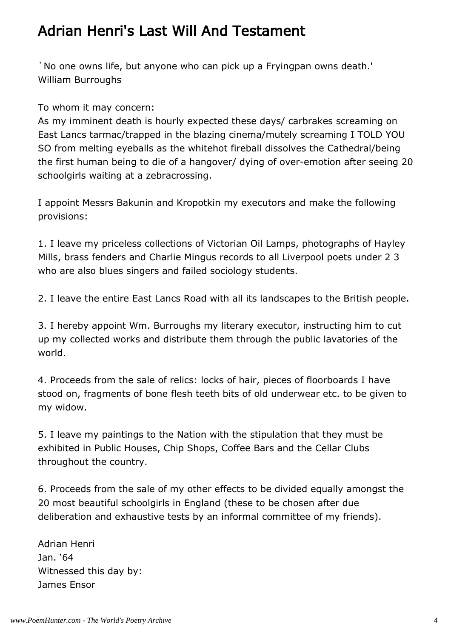### Adrian Henri's Last Will And Testament

`No one owns life, but anyone who can pick up a Fryingpan owns death.' William Burroughs

To whom it may concern:

As my imminent death is hourly expected these days/ carbrakes screaming on East Lancs tarmac/trapped in the blazing cinema/mutely screaming I TOLD YOU SO from melting eyeballs as the whitehot fireball dissolves the Cathedral/being the first human being to die of a hangover/ dying of over-emotion after seeing 20 schoolgirls waiting at a zebracrossing.

I appoint Messrs Bakunin and Kropotkin my executors and make the following provisions:

1. I leave my priceless collections of Victorian Oil Lamps, photographs of Hayley Mills, brass fenders and Charlie Mingus records to all Liverpool poets under 2 3 who are also blues singers and failed sociology students.

2. I leave the entire East Lancs Road with all its landscapes to the British people.

3. I hereby appoint Wm. Burroughs my literary executor, instructing him to cut up my collected works and distribute them through the public lavatories of the world.

4. Proceeds from the sale of relics: locks of hair, pieces of floorboards I have stood on, fragments of bone flesh teeth bits of old underwear etc. to be given to my widow.

5. I leave my paintings to the Nation with the stipulation that they must be exhibited in Public Houses, Chip Shops, Coffee Bars and the Cellar Clubs throughout the country.

6. Proceeds from the sale of my other effects to be divided equally amongst the 20 most beautiful schoolgirls in England (these to be chosen after due deliberation and exhaustive tests by an informal committee of my friends).

Adrian Henri Jan. '64 Witnessed this day by: James Ensor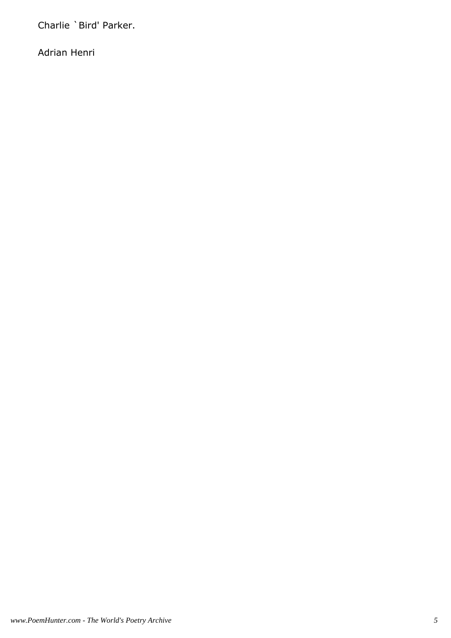Charlie `Bird' Parker.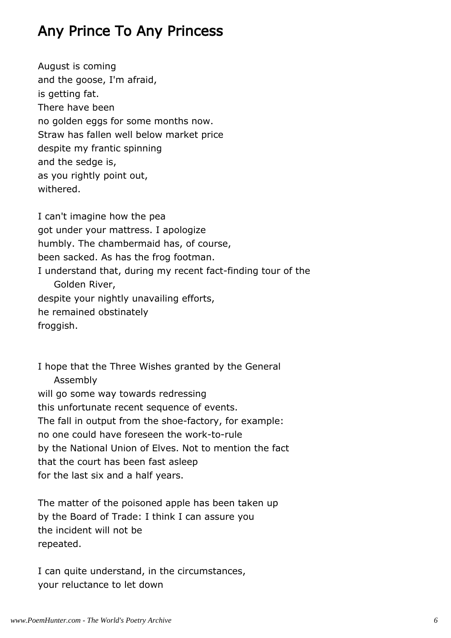### Any Prince To Any Princess

August is coming and the goose, I'm afraid, is getting fat. There have been no golden eggs for some months now. Straw has fallen well below market price despite my frantic spinning and the sedge is, as you rightly point out, withered.

I can't imagine how the pea got under your mattress. I apologize humbly. The chambermaid has, of course, been sacked. As has the frog footman. I understand that, during my recent fact-finding tour of the Golden River, despite your nightly unavailing efforts, he remained obstinately froggish.

I hope that the Three Wishes granted by the General Assembly will go some way towards redressing this unfortunate recent sequence of events. The fall in output from the shoe-factory, for example: no one could have foreseen the work-to-rule by the National Union of Elves. Not to mention the fact that the court has been fast asleep for the last six and a half years.

The matter of the poisoned apple has been taken up by the Board of Trade: I think I can assure you the incident will not be repeated.

I can quite understand, in the circumstances, your reluctance to let down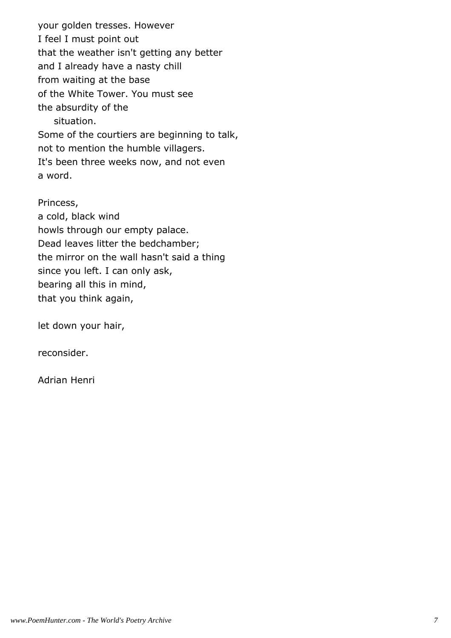your golden tresses. However I feel I must point out that the weather isn't getting any better and I already have a nasty chill from waiting at the base of the White Tower. You must see the absurdity of the situation. Some of the courtiers are beginning to talk, not to mention the humble villagers. It's been three weeks now, and not even a word.

Princess, a cold, black wind howls through our empty palace. Dead leaves litter the bedchamber; the mirror on the wall hasn't said a thing since you left. I can only ask, bearing all this in mind, that you think again,

let down your hair,

reconsider.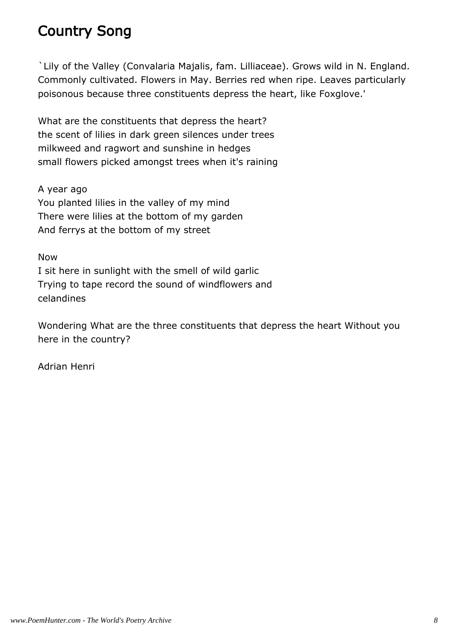# Country Song

`Lily of the Valley (Convalaria Majalis, fam. Lilliaceae). Grows wild in N. England. Commonly cultivated. Flowers in May. Berries red when ripe. Leaves particularly poisonous because three constituents depress the heart, like Foxglove.'

What are the constituents that depress the heart? the scent of lilies in dark green silences under trees milkweed and ragwort and sunshine in hedges small flowers picked amongst trees when it's raining

A year ago You planted lilies in the valley of my mind There were lilies at the bottom of my garden And ferrys at the bottom of my street

Now

I sit here in sunlight with the smell of wild garlic Trying to tape record the sound of windflowers and celandines

Wondering What are the three constituents that depress the heart Without you here in the country?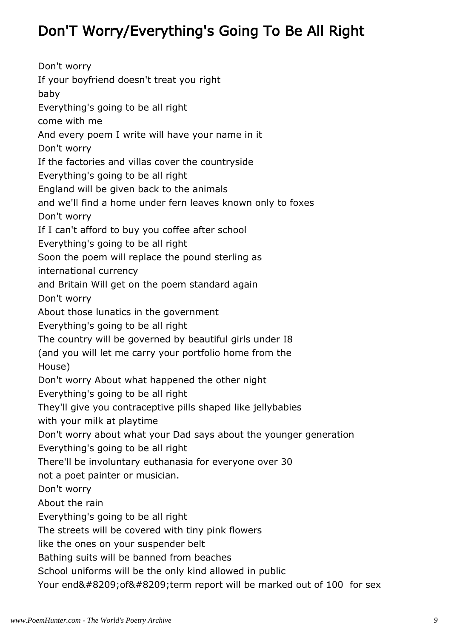# Don'T Worry/Everything's Going To Be All Right

Don't worry If your boyfriend doesn't treat you right baby Everything's going to be all right come with me And every poem I write will have your name in it Don't worry If the factories and villas cover the countryside Everything's going to be all right England will be given back to the animals and we'll find a home under fern leaves known only to foxes Don't worry If I can't afford to buy you coffee after school Everything's going to be all right Soon the poem will replace the pound sterling as international currency and Britain Will get on the poem standard again Don't worry About those lunatics in the government Everything's going to be all right The country will be governed by beautiful girls under I8 (and you will let me carry your portfolio home from the House) Don't worry About what happened the other night Everything's going to be all right They'll give you contraceptive pills shaped like jellybabies with your milk at playtime Don't worry about what your Dad says about the younger generation Everything's going to be all right There'll be involuntary euthanasia for everyone over 30 not a poet painter or musician. Don't worry About the rain Everything's going to be all right The streets will be covered with tiny pink flowers like the ones on your suspender belt Bathing suits will be banned from beaches School uniforms will be the only kind allowed in public Your end‑of‑term report will be marked out of 100 for sex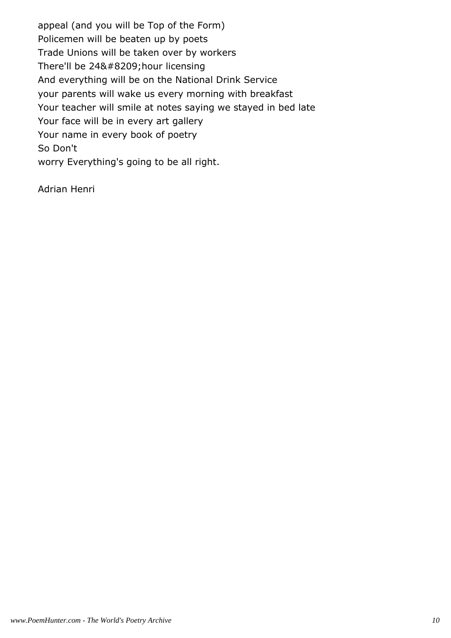appeal (and you will be Top of the Form) Policemen will be beaten up by poets Trade Unions will be taken over by workers There'll be 24‑ hour licensing And everything will be on the National Drink Service your parents will wake us every morning with breakfast Your teacher will smile at notes saying we stayed in bed late Your face will be in every art gallery Your name in every book of poetry So Don't worry Everything's going to be all right.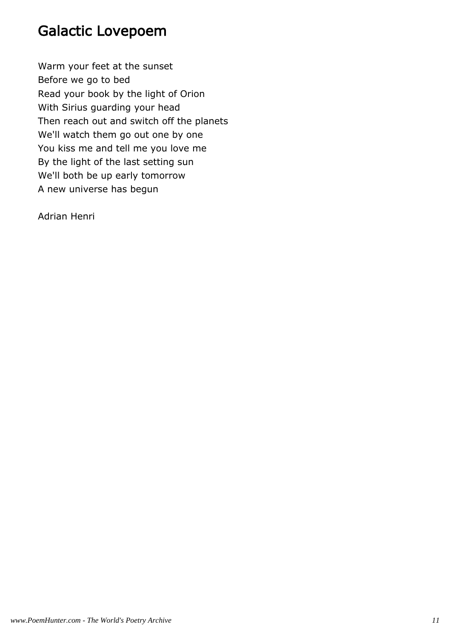### Galactic Lovepoem

Warm your feet at the sunset Before we go to bed Read your book by the light of Orion With Sirius guarding your head Then reach out and switch off the planets We'll watch them go out one by one You kiss me and tell me you love me By the light of the last setting sun We'll both be up early tomorrow A new universe has begun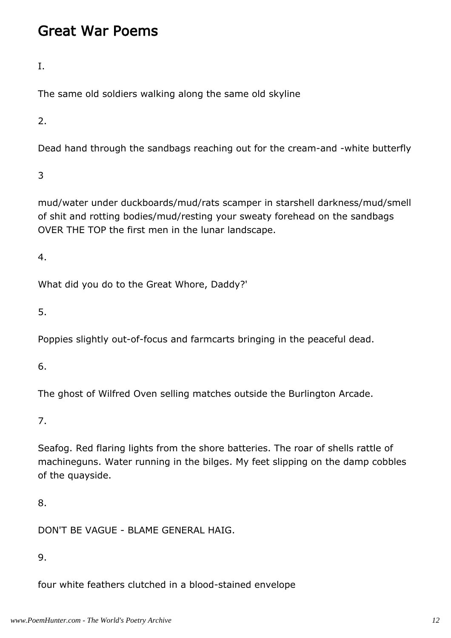### Great War Poems

I.

The same old soldiers walking along the same old skyline

2.

Dead hand through the sandbags reaching out for the cream-and -white butterfly

3

mud/water under duckboards/mud/rats scamper in starshell darkness/mud/smell of shit and rotting bodies/mud/resting your sweaty forehead on the sandbags OVER THE TOP the first men in the lunar landscape.

4.

What did you do to the Great Whore, Daddy?'

5.

Poppies slightly out-of-focus and farmcarts bringing in the peaceful dead.

6.

The ghost of Wilfred Oven selling matches outside the Burlington Arcade.

7.

Seafog. Red flaring lights from the shore batteries. The roar of shells rattle of machineguns. Water running in the bilges. My feet slipping on the damp cobbles of the quayside.

8.

DON'T BE VAGUE - BLAME GENERAL HAIG.

9.

four white feathers clutched in a blood-stained envelope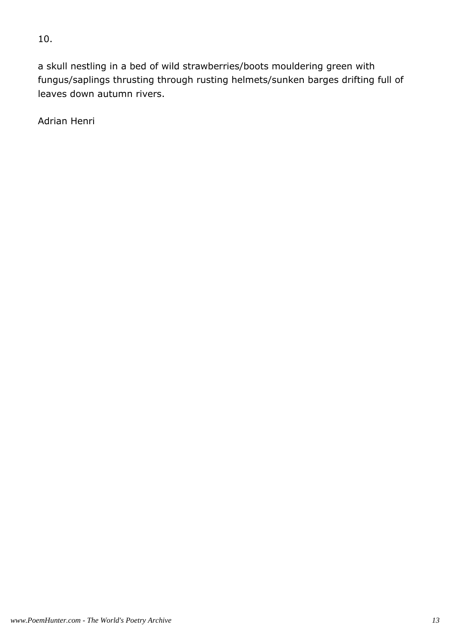a skull nestling in a bed of wild strawberries/boots mouldering green with fungus/saplings thrusting through rusting helmets/sunken barges drifting full of leaves down autumn rivers.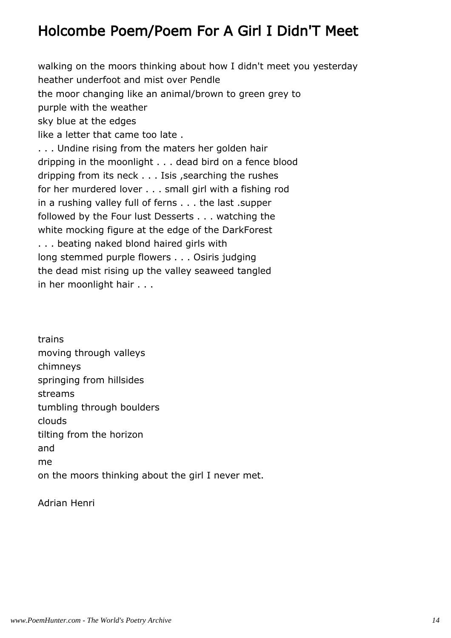# Holcombe Poem/Poem For A Girl I Didn'T Meet

walking on the moors thinking about how I didn't meet you yesterday heather underfoot and mist over Pendle the moor changing like an animal/brown to green grey to purple with the weather sky blue at the edges like a letter that came too late . . . . Undine rising from the maters her golden hair dripping in the moonlight . . . dead bird on a fence blood dripping from its neck . . . Isis ,searching the rushes for her murdered lover . . . small girl with a fishing rod in a rushing valley full of ferns . . . the last .supper followed by the Four lust Desserts . . . watching the white mocking figure at the edge of the DarkForest . . . beating naked blond haired girls with long stemmed purple flowers . . . Osiris judging the dead mist rising up the valley seaweed tangled in her moonlight hair . . .

trains moving through valleys chimneys springing from hillsides streams tumbling through boulders clouds tilting from the horizon and me on the moors thinking about the girl I never met.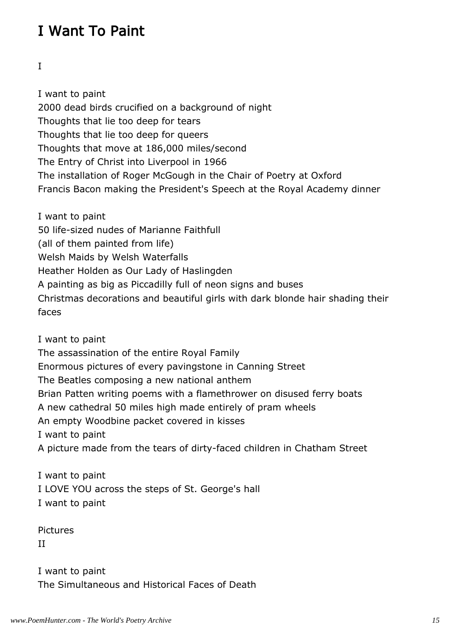# I Want To Paint

#### I

I want to paint 2000 dead birds crucified on a background of night Thoughts that lie too deep for tears Thoughts that lie too deep for queers Thoughts that move at 186,000 miles/second The Entry of Christ into Liverpool in 1966 The installation of Roger McGough in the Chair of Poetry at Oxford Francis Bacon making the President's Speech at the Royal Academy dinner

I want to paint 50 life-sized nudes of Marianne Faithfull (all of them painted from life) Welsh Maids by Welsh Waterfalls Heather Holden as Our Lady of Haslingden A painting as big as Piccadilly full of neon signs and buses Christmas decorations and beautiful girls with dark blonde hair shading their faces

I want to paint The assassination of the entire Royal Family Enormous pictures of every pavingstone in Canning Street The Beatles composing a new national anthem Brian Patten writing poems with a flamethrower on disused ferry boats A new cathedral 50 miles high made entirely of pram wheels An empty Woodbine packet covered in kisses I want to paint A picture made from the tears of dirty-faced children in Chatham Street

I want to paint I LOVE YOU across the steps of St. George's hall I want to paint

Pictures II

I want to paint The Simultaneous and Historical Faces of Death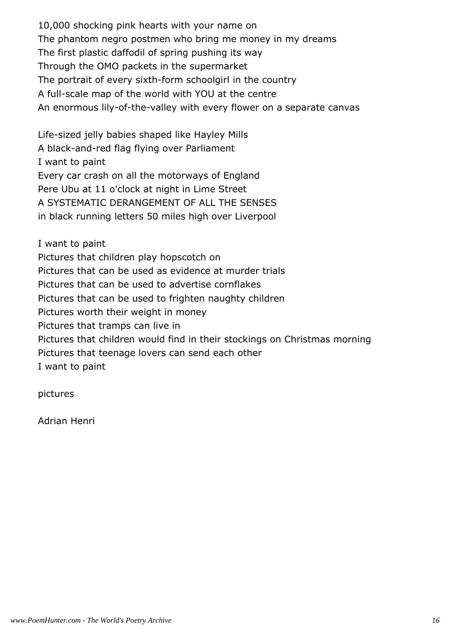10,000 shocking pink hearts with your name on The phantom negro postmen who bring me money in my dreams The first plastic daffodil of spring pushing its way Through the OMO packets in the supermarket The portrait of every sixth-form schoolgirl in the country A full-scale map of the world with YOU at the centre An enormous lily-of-the-valley with every flower on a separate canvas

Life-sized jelly babies shaped like Hayley Mills A black-and-red flag flying over Parliament I want to paint Every car crash on all the motorways of England Pere Ubu at 11 o'clock at night in Lime Street A SYSTEMATIC DERANGEMENT OF ALL THE SENSES in black running letters 50 miles high over Liverpool

I want to paint Pictures that children play hopscotch on Pictures that can be used as evidence at murder trials Pictures that can be used to advertise cornflakes Pictures that can be used to frighten naughty children Pictures worth their weight in money Pictures that tramps can live in Pictures that children would find in their stockings on Christmas morning Pictures that teenage lovers can send each other I want to paint

pictures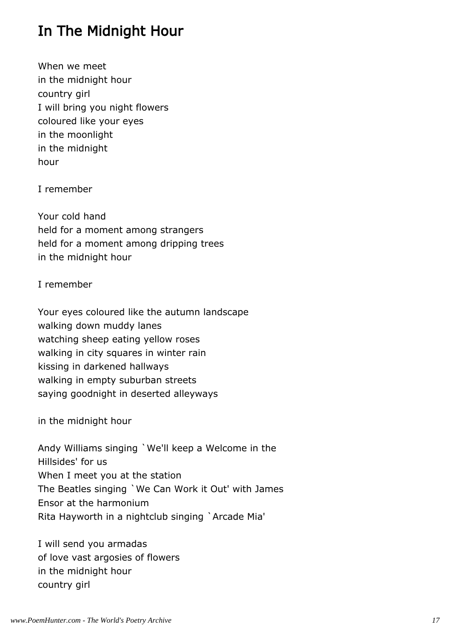# In The Midnight Hour

When we meet in the midnight hour country girl I will bring you night flowers coloured like your eyes in the moonlight in the midnight hour

I remember

Your cold hand held for a moment among strangers held for a moment among dripping trees in the midnight hour

I remember

Your eyes coloured like the autumn landscape walking down muddy lanes watching sheep eating yellow roses walking in city squares in winter rain kissing in darkened hallways walking in empty suburban streets saying goodnight in deserted alleyways

in the midnight hour

Andy Williams singing `We'll keep a Welcome in the Hillsides' for us When I meet you at the station The Beatles singing `We Can Work it Out' with James Ensor at the harmonium Rita Hayworth in a nightclub singing `Arcade Mia'

I will send you armadas of love vast argosies of flowers in the midnight hour country girl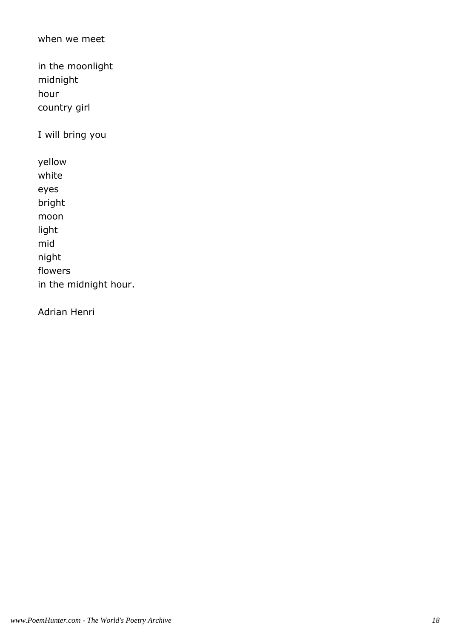#### when we meet

in the moonlight midnight hour country girl

I will bring you

yellow white eyes bright moon light mid night flowers

in the midnight hour.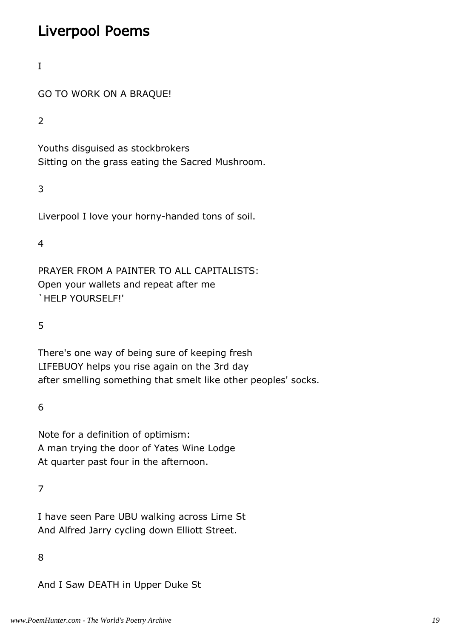# Liverpool Poems

I

GO TO WORK ON A BRAQUE!

2

Youths disguised as stockbrokers Sitting on the grass eating the Sacred Mushroom.

3

Liverpool I love your horny-handed tons of soil.

4

PRAYER FROM A PAINTER TO ALL CAPITALISTS: Open your wallets and repeat after me `HELP YOURSELF!'

5

There's one way of being sure of keeping fresh LIFEBUOY helps you rise again on the 3rd day after smelling something that smelt like other peoples' socks.

6

Note for a definition of optimism: A man trying the door of Yates Wine Lodge At quarter past four in the afternoon.

7

I have seen Pare UBU walking across Lime St And Alfred Jarry cycling down Elliott Street.

8

And I Saw DEATH in Upper Duke St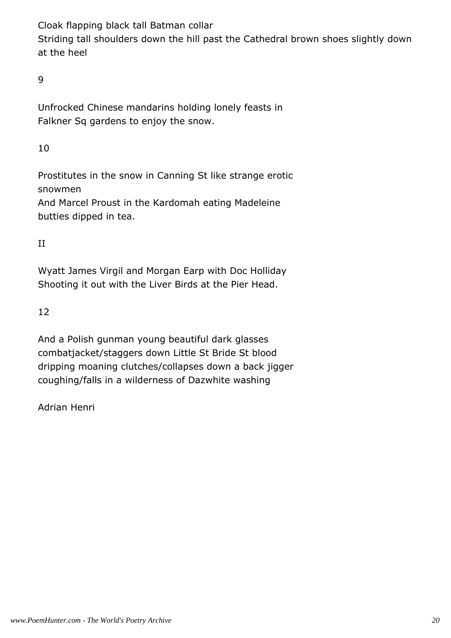Cloak flapping black tall Batman collar

Striding tall shoulders down the hill past the Cathedral brown shoes slightly down at the heel

9

Unfrocked Chinese mandarins holding lonely feasts in Falkner Sq gardens to enjoy the snow.

10

Prostitutes in the snow in Canning St like strange erotic snowmen And Marcel Proust in the Kardomah eating Madeleine butties dipped in tea.

II

Wyatt James Virgil and Morgan Earp with Doc Holliday Shooting it out with the Liver Birds at the Pier Head.

12

And a Polish gunman young beautiful dark glasses combatjacket/staggers down Little St Bride St blood dripping moaning clutches/collapses down a back jigger coughing/falls in a wilderness of Dazwhite washing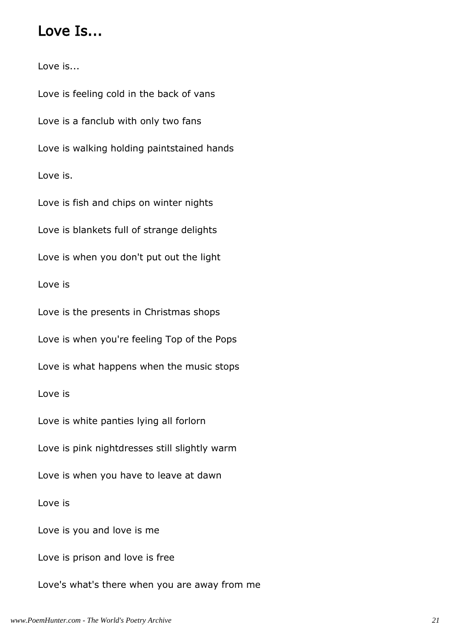# Love Is...

Love is...

Love is feeling cold in the back of vans Love is a fanclub with only two fans Love is walking holding paintstained hands Love is. Love is fish and chips on winter nights Love is blankets full of strange delights Love is when you don't put out the light Love is Love is the presents in Christmas shops Love is when you're feeling Top of the Pops Love is what happens when the music stops Love is Love is white panties lying all forlorn Love is pink nightdresses still slightly warm Love is when you have to leave at dawn Love is Love is you and love is me Love is prison and love is free Love's what's there when you are away from me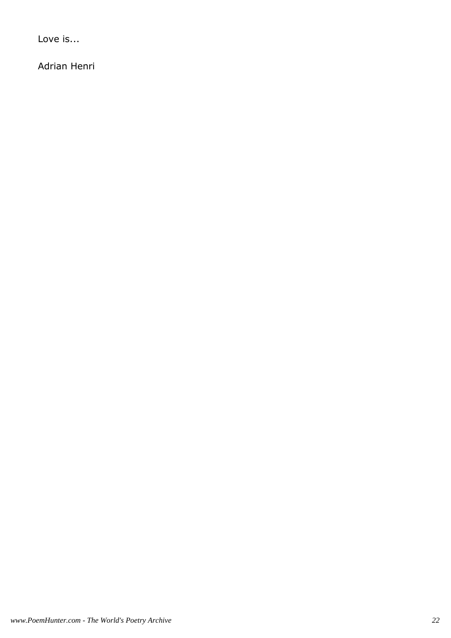Love is...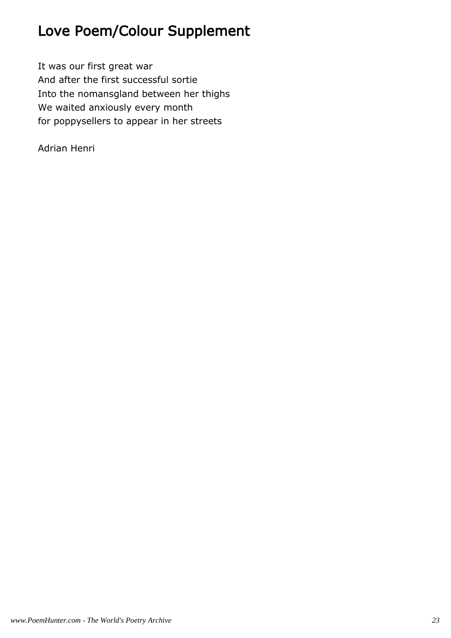# Love Poem/Colour Supplement

It was our first great war And after the first successful sortie Into the nomansgland between her thighs We waited anxiously every month for poppysellers to appear in her streets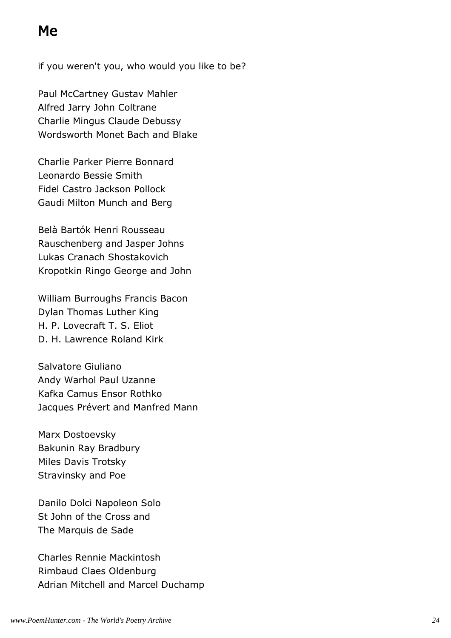# Me

if you weren't you, who would you like to be?

Paul McCartney Gustav Mahler Alfred Jarry John Coltrane Charlie Mingus Claude Debussy Wordsworth Monet Bach and Blake

Charlie Parker Pierre Bonnard Leonardo Bessie Smith Fidel Castro Jackson Pollock Gaudi Milton Munch and Berg

Belà Bartók Henri Rousseau Rauschenberg and Jasper Johns Lukas Cranach Shostakovich Kropotkin Ringo George and John

William Burroughs Francis Bacon Dylan Thomas Luther King H. P. Lovecraft T. S. Eliot D. H. Lawrence Roland Kirk

Salvatore Giuliano Andy Warhol Paul Uzanne Kafka Camus Ensor Rothko Jacques Prévert and Manfred Mann

Marx Dostoevsky Bakunin Ray Bradbury Miles Davis Trotsky Stravinsky and Poe

Danilo Dolci Napoleon Solo St John of the Cross and The Marquis de Sade

Charles Rennie Mackintosh Rimbaud Claes Oldenburg Adrian Mitchell and Marcel Duchamp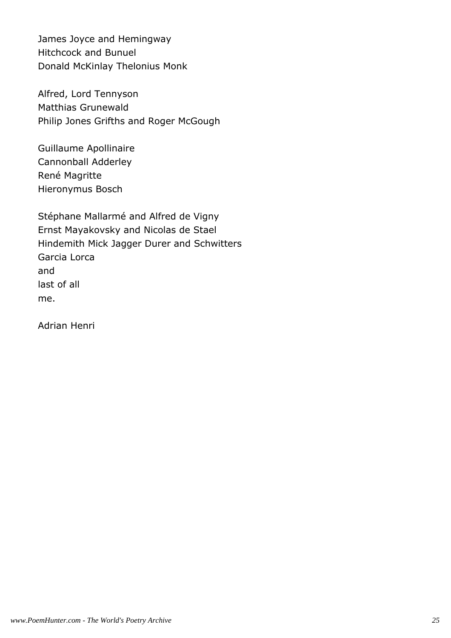James Joyce and Hemingway Hitchcock and Bunuel Donald McKinlay Thelonius Monk

Alfred, Lord Tennyson Matthias Grunewald Philip Jones Grifths and Roger McGough

Guillaume Apollinaire Cannonball Adderley René Magritte Hieronymus Bosch

Stéphane Mallarmé and Alfred de Vigny Ernst Mayakovsky and Nicolas de Stael Hindemith Mick Jagger Durer and Schwitters Garcia Lorca and last of all me.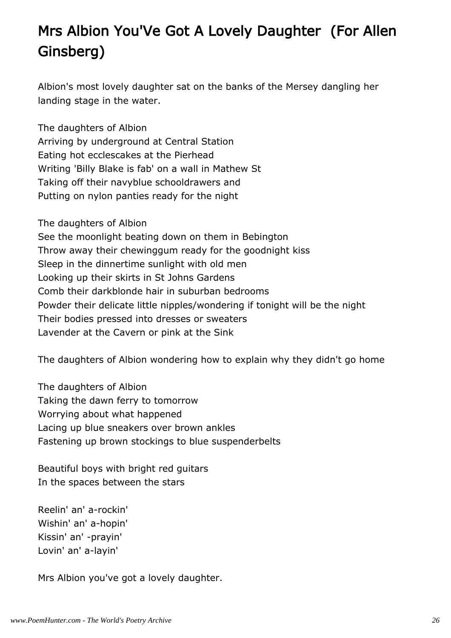# Mrs Albion You'Ve Got A Lovely Daughter (For Allen Ginsberg)

Albion's most lovely daughter sat on the banks of the Mersey dangling her landing stage in the water.

The daughters of Albion

Arriving by underground at Central Station Eating hot ecclescakes at the Pierhead Writing 'Billy Blake is fab' on a wall in Mathew St Taking off their navyblue schooldrawers and Putting on nylon panties ready for the night

The daughters of Albion See the moonlight beating down on them in Bebington Throw away their chewinggum ready for the goodnight kiss Sleep in the dinnertime sunlight with old men Looking up their skirts in St Johns Gardens Comb their darkblonde hair in suburban bedrooms Powder their delicate little nipples/wondering if tonight will be the night Their bodies pressed into dresses or sweaters Lavender at the Cavern or pink at the Sink

The daughters of Albion wondering how to explain why they didn't go home

The daughters of Albion Taking the dawn ferry to tomorrow Worrying about what happened Lacing up blue sneakers over brown ankles Fastening up brown stockings to blue suspenderbelts

Beautiful boys with bright red guitars In the spaces between the stars

Reelin' an' a-rockin' Wishin' an' a-hopin' Kissin' an' -prayin' Lovin' an' a-layin'

Mrs Albion you've got a lovely daughter.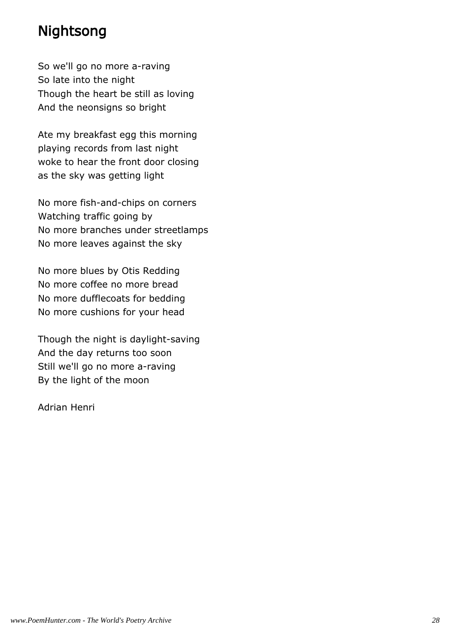### Nightsong

So we'll go no more a-raving So late into the night Though the heart be still as loving And the neonsigns so bright

Ate my breakfast egg this morning playing records from last night woke to hear the front door closing as the sky was getting light

No more fish-and-chips on corners Watching traffic going by No more branches under streetlamps No more leaves against the sky

No more blues by Otis Redding No more coffee no more bread No more dufflecoats for bedding No more cushions for your head

Though the night is daylight-saving And the day returns too soon Still we'll go no more a-raving By the light of the moon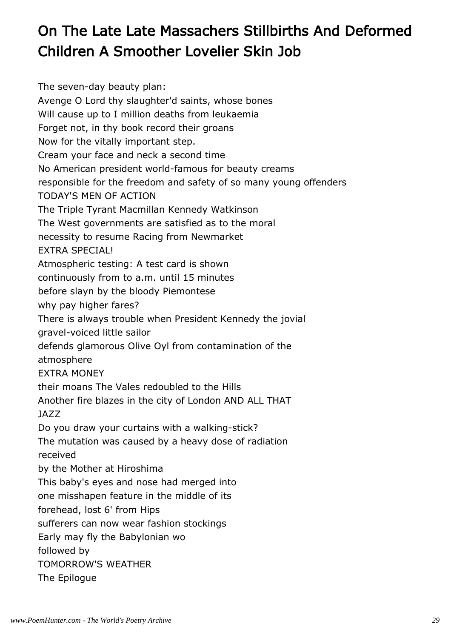# On The Late Late Massachers Stillbirths And Deformed Children A Smoother Lovelier Skin Job

The seven-day beauty plan: Avenge O Lord thy slaughter'd saints, whose bones Will cause up to I million deaths from leukaemia Forget not, in thy book record their groans Now for the vitally important step. Cream your face and neck a second time No American president world-famous for beauty creams responsible for the freedom and safety of so many young offenders TODAY'S MEN OF ACTION The Triple Tyrant Macmillan Kennedy Watkinson The West governments are satisfied as to the moral necessity to resume Racing from Newmarket EXTRA SPECIAL! Atmospheric testing: A test card is shown continuously from to a.m. until 15 minutes before slayn by the bloody Piemontese why pay higher fares? There is always trouble when President Kennedy the jovial gravel-voiced little sailor defends glamorous Olive Oyl from contamination of the atmosphere EXTRA MONEY their moans The Vales redoubled to the Hills Another fire blazes in the city of London AND ALL THAT JAZZ Do you draw your curtains with a walking-stick? The mutation was caused by a heavy dose of radiation received by the Mother at Hiroshima This baby's eyes and nose had merged into one misshapen feature in the middle of its forehead, lost 6' from Hips sufferers can now wear fashion stockings Early may fly the Babylonian wo followed by TOMORROW'S WEATHER The Epilogue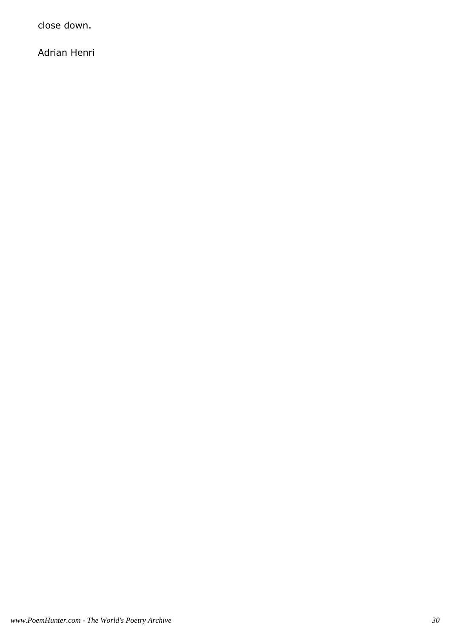close down.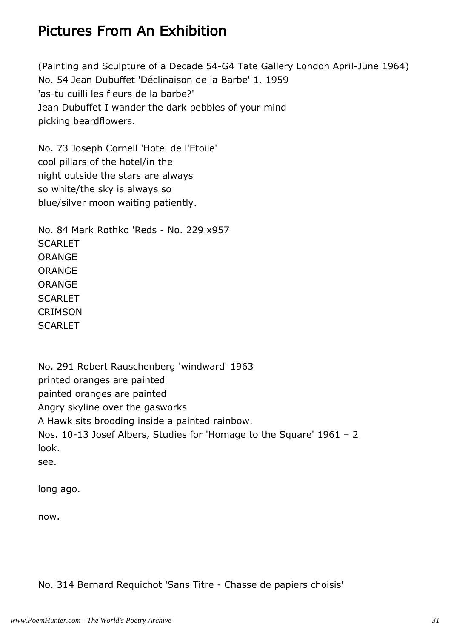### Pictures From An Exhibition

(Painting and Sculpture of a Decade 54-G4 Tate Gallery London April-June 1964) No. 54 Jean Dubuffet 'Déclinaison de la Barbe' 1. 1959 'as-tu cuilli les fleurs de la barbe?' Jean Dubuffet I wander the dark pebbles of your mind picking beardflowers.

No. 73 Joseph Cornell 'Hotel de l'Etoile' cool pillars of the hotel/in the night outside the stars are always so white/the sky is always so blue/silver moon waiting patiently.

No. 84 Mark Rothko 'Reds - No. 229 x957 **SCARLET ORANGE** ORANGE ORANGE **SCARLET CRIMSON SCARLET** 

No. 291 Robert Rauschenberg 'windward' 1963 printed oranges are painted painted oranges are painted Angry skyline over the gasworks A Hawk sits brooding inside a painted rainbow. Nos.  $10-13$  Josef Albers, Studies for 'Homage to the Square' 1961 – 2 look. see.

long ago.

now.

No. 314 Bernard Requichot 'Sans Titre Chasse de papiers choisis'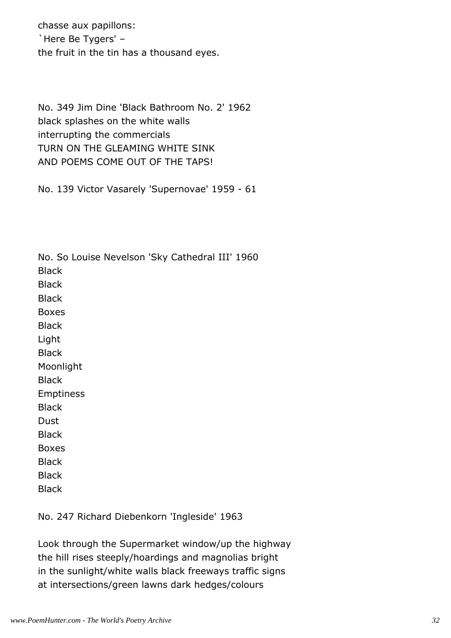chasse aux papillons: `Here Be Tygers' – the fruit in the tin has a thousand eyes.

No. 349 Jim Dine 'Black Bathroom No. 2' 1962 black splashes on the white walls interrupting the commercials TURN ON THE GLEAMING WHITE SINK AND POEMS COME OUT OF THE TAPS!

No. 139 Victor Vasarely 'Supernovae' 1959 - 61

| No. So Louise Nevelson 'Sky Cathedral III' 1960 |
|-------------------------------------------------|
| <b>Black</b>                                    |
| <b>Black</b>                                    |
| <b>Black</b>                                    |
| <b>Boxes</b>                                    |
| <b>Black</b>                                    |
| Light                                           |
| <b>Black</b>                                    |
| Moonlight                                       |
| <b>Black</b>                                    |
| <b>Emptiness</b>                                |
| <b>Black</b>                                    |
| Dust                                            |
| <b>Black</b>                                    |
| <b>Boxes</b>                                    |
| <b>Black</b>                                    |
| <b>Black</b>                                    |
| <b>Black</b>                                    |

No. 247 Richard Diebenkorn 'Ingleside' 1963

Look through the Supermarket window/up the highway the hill rises steeply/hoardings and magnolias bright in the sunlight/white walls black freeways traffic signs at intersections/green lawns dark hedges/colours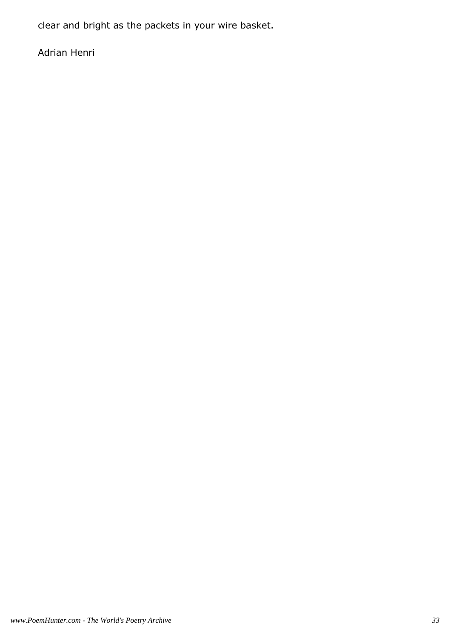clear and bright as the packets in your wire basket.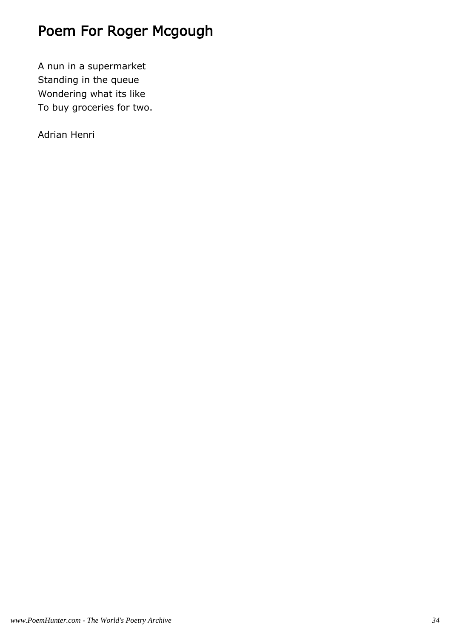# Poem For Roger Mcgough

A nun in a supermarket Standing in the queue Wondering what its like To buy groceries for two.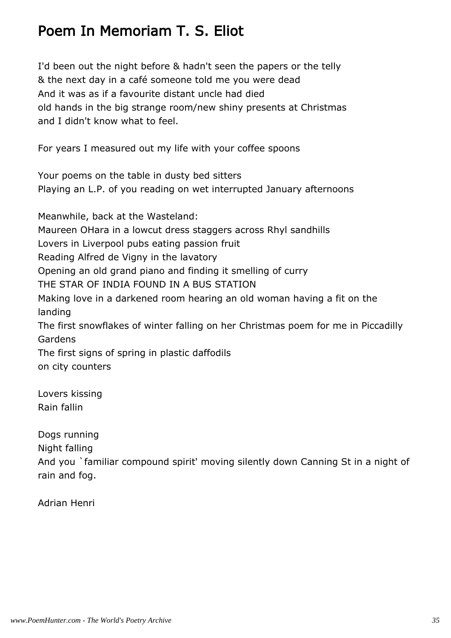# Poem In Memoriam T. S. Eliot

I'd been out the night before & hadn't seen the papers or the telly & the next day in a café someone told me you were dead And it was as if a favourite distant uncle had died old hands in the big strange room/new shiny presents at Christmas and I didn't know what to feel.

For years I measured out my life with your coffee spoons

Your poems on the table in dusty bed sitters Playing an L.P. of you reading on wet interrupted January afternoons

Meanwhile, back at the Wasteland: Maureen OHara in a lowcut dress staggers across Rhyl sandhills Lovers in Liverpool pubs eating passion fruit Reading Alfred de Vigny in the lavatory Opening an old grand piano and finding it smelling of curry THE STAR OF INDIA FOUND IN A BUS STATION Making love in a darkened room hearing an old woman having a fit on the landing The first snowflakes of winter falling on her Christmas poem for me in Piccadilly Gardens The first signs of spring in plastic daffodils on city counters

Lovers kissing Rain fallin

Dogs running

Night falling

And you `familiar compound spirit' moving silently down Canning St in a night of rain and fog.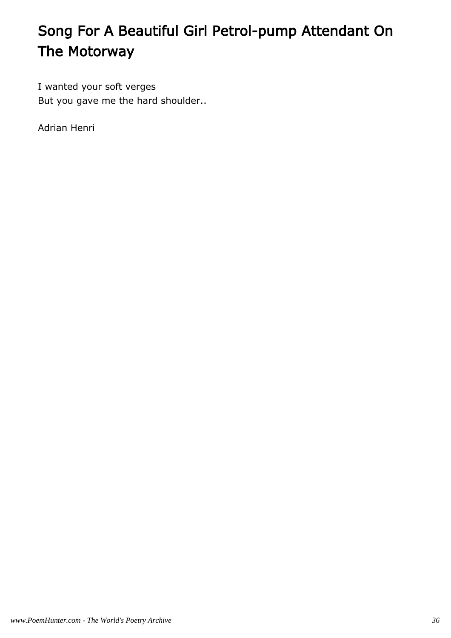# Song For A Beautiful Girl Petrol-pump Attendant On The Motorway

I wanted your soft verges But you gave me the hard shoulder..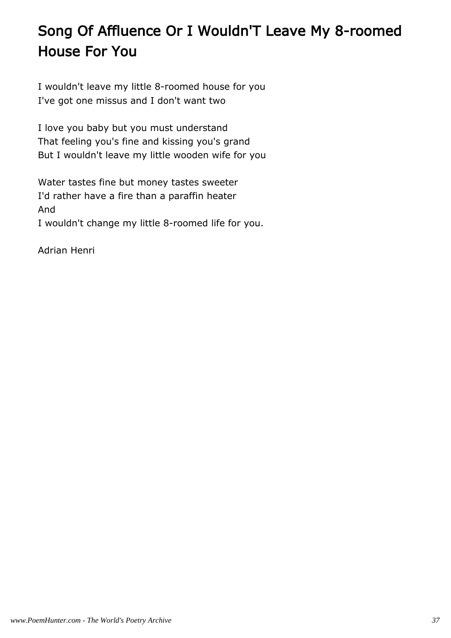# Song Of Affluence Or I Wouldn'T Leave My 8-roomed House For You

I wouldn't leave my little 8-roomed house for you I've got one missus and I don't want two

I love you baby but you must understand That feeling you's fine and kissing you's grand But I wouldn't leave my little wooden wife for you

Water tastes fine but money tastes sweeter I'd rather have a fire than a paraffin heater And I wouldn't change my little 8-roomed life for you.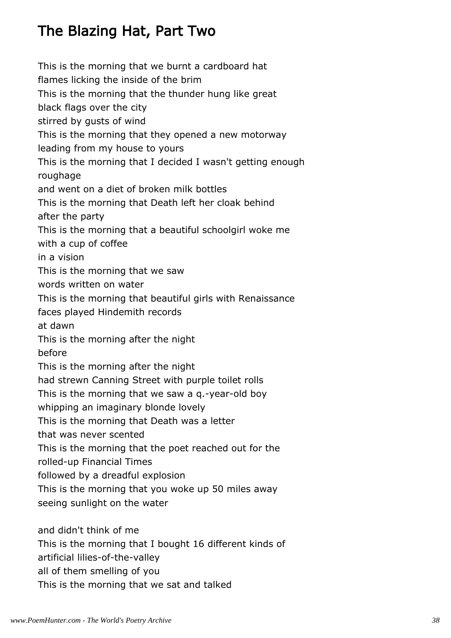# The Blazing Hat, Part Two

This is the morning that we burnt a cardboard hat flames licking the inside of the brim This is the morning that the thunder hung like great black flags over the city stirred by gusts of wind This is the morning that they opened a new motorway leading from my house to yours This is the morning that I decided I wasn't getting enough roughage and went on a diet of broken milk bottles This is the morning that Death left her cloak behind after the party This is the morning that a beautiful schoolgirl woke me with a cup of coffee in a vision This is the morning that we saw words written on water This is the morning that beautiful girls with Renaissance faces played Hindemith records at dawn This is the morning after the night before This is the morning after the night had strewn Canning Street with purple toilet rolls This is the morning that we saw a  $q$ -year-old boy whipping an imaginary blonde lovely This is the morning that Death was a letter that was never scented This is the morning that the poet reached out for the rolled-up Financial Times followed by a dreadful explosion This is the morning that you woke up 50 miles away seeing sunlight on the water and didn't think of me This is the morning that I bought 16 different kinds of

artificial lilies-of-the-valley

all of them smelling of you

This is the morning that we sat and talked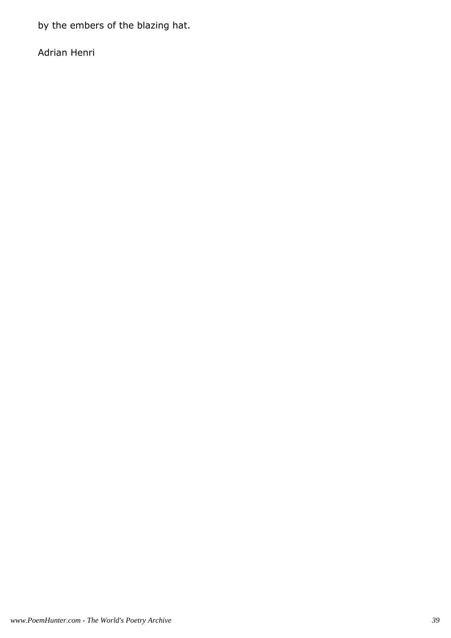by the embers of the blazing hat.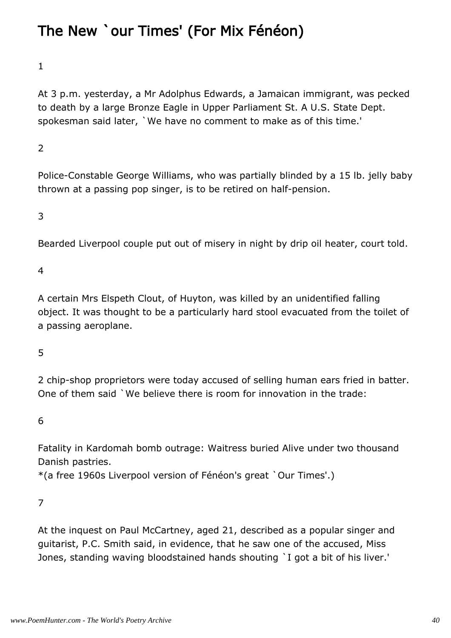# The New `our Times' (For Mix Fénéon)

#### 1

At 3 p.m. yesterday, a Mr Adolphus Edwards, a Jamaican immigrant, was pecked to death by a large Bronze Eagle in Upper Parliament St. A U.S. State Dept. spokesman said later, `We have no comment to make as of this time.'

#### 2

Police-Constable George Williams, who was partially blinded by a 15 lb. jelly baby thrown at a passing pop singer, is to be retired on half-pension.

#### 3

Bearded Liverpool couple put out of misery in night by drip oil heater, court told.

#### 4

A certain Mrs Elspeth Clout, of Huyton, was killed by an unidentified falling object. It was thought to be a particularly hard stool evacuated from the toilet of a passing aeroplane.

#### 5

2 chip-shop proprietors were today accused of selling human ears fried in batter. One of them said `We believe there is room for innovation in the trade:

#### 6

Fatality in Kardomah bomb outrage: Waitress buried Alive under two thousand Danish pastries.

\*(a free 1960s Liverpool version of Fénéon's great `Our Times'.)

#### 7

At the inquest on Paul McCartney, aged 21, described as a popular singer and guitarist, P.C. Smith said, in evidence, that he saw one of the accused, Miss Jones, standing waving bloodstained hands shouting `I got a bit of his liver.'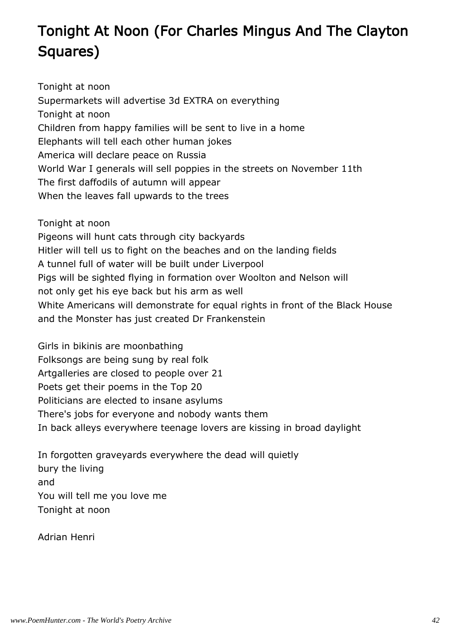# Tonight At Noon (For Charles Mingus And The Clayton Squares)

Tonight at noon Supermarkets will advertise 3d EXTRA on everything Tonight at noon Children from happy families will be sent to live in a home Elephants will tell each other human jokes America will declare peace on Russia World War I generals will sell poppies in the streets on November 11th The first daffodils of autumn will appear When the leaves fall upwards to the trees

Tonight at noon Pigeons will hunt cats through city backyards Hitler will tell us to fight on the beaches and on the landing fields A tunnel full of water will be built under Liverpool Pigs will be sighted flying in formation over Woolton and Nelson will not only get his eye back but his arm as well White Americans will demonstrate for equal rights in front of the Black House and the Monster has just created Dr Frankenstein

Girls in bikinis are moonbathing Folksongs are being sung by real folk Artgalleries are closed to people over 21 Poets get their poems in the Top 20 Politicians are elected to insane asylums There's jobs for everyone and nobody wants them In back alleys everywhere teenage lovers are kissing in broad daylight

In forgotten graveyards everywhere the dead will quietly bury the living and You will tell me you love me Tonight at noon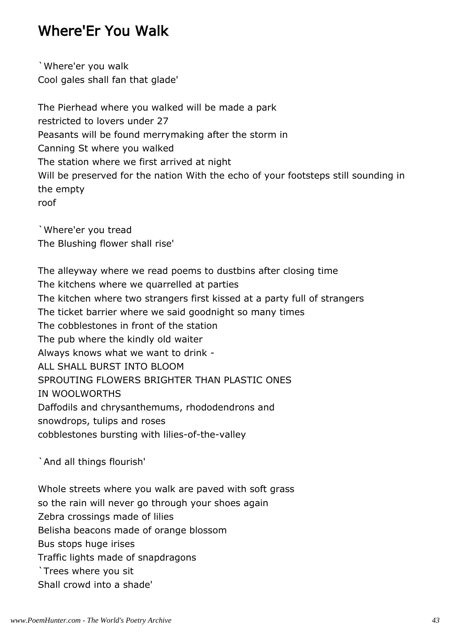### Where'Er You Walk

`Where'er you walk Cool gales shall fan that glade'

The Pierhead where you walked will be made a park restricted to lovers under 27 Peasants will be found merrymaking after the storm in Canning St where you walked The station where we first arrived at night Will be preserved for the nation With the echo of your footsteps still sounding in the empty roof

`Where'er you tread The Blushing flower shall rise'

The alleyway where we read poems to dustbins after closing time The kitchens where we quarrelled at parties The kitchen where two strangers first kissed at a party full of strangers The ticket barrier where we said goodnight so many times The cobblestones in front of the station The pub where the kindly old waiter Always knows what we want to drink - ALL SHALL BURST INTO BLOOM SPROUTING FLOWERS BRIGHTER THAN PLASTIC ONES IN WOOLWORTHS Daffodils and chrysanthemums, rhododendrons and snowdrops, tulips and roses cobblestones bursting with lilies-of-the-valley

`And all things flourish'

Whole streets where you walk are paved with soft grass so the rain will never go through your shoes again Zebra crossings made of lilies Belisha beacons made of orange blossom Bus stops huge irises Traffic lights made of snapdragons `Trees where you sit Shall crowd into a shade'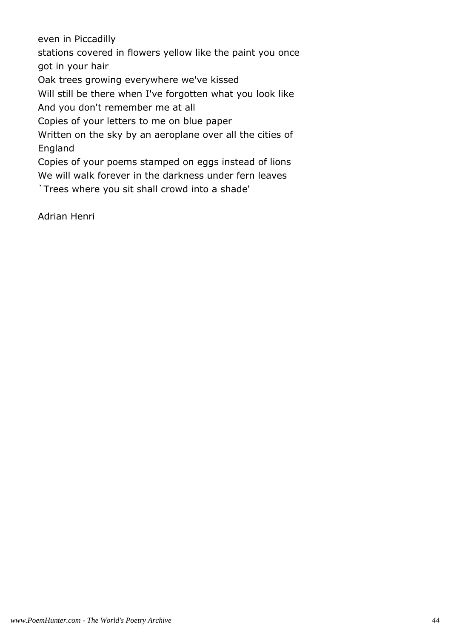even in Piccadilly

stations covered in flowers yellow like the paint you once got in your hair

Oak trees growing everywhere we've kissed

Will still be there when I've forgotten what you look like

And you don't remember me at all

Copies of your letters to me on blue paper

Written on the sky by an aeroplane over all the cities of England

Copies of your poems stamped on eggs instead of lions We will walk forever in the darkness under fern leaves

`Trees where you sit shall crowd into a shade'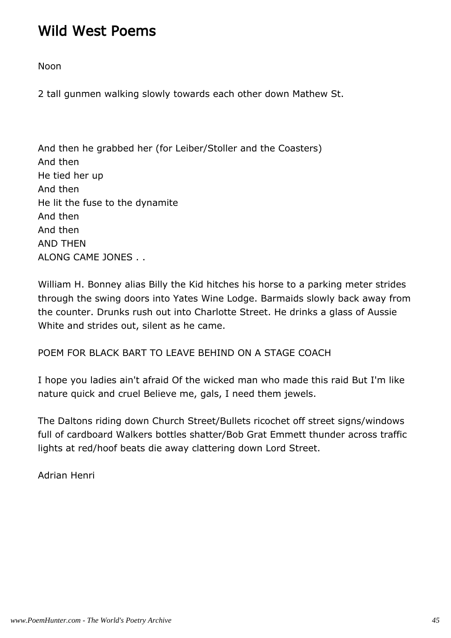### Wild West Poems

Noon

2 tall gunmen walking slowly towards each other down Mathew St.

And then he grabbed her (for Leiber/Stoller and the Coasters) And then He tied her up And then He lit the fuse to the dynamite And then And then AND THEN ALONG CAME JONES . .

William H. Bonney alias Billy the Kid hitches his horse to a parking meter strides through the swing doors into Yates Wine Lodge. Barmaids slowly back away from the counter. Drunks rush out into Charlotte Street. He drinks a glass of Aussie White and strides out, silent as he came.

POEM FOR BLACK BART TO LEAVE BEHIND ON A STAGE COACH

I hope you ladies ain't afraid Of the wicked man who made this raid But I'm like nature quick and cruel Believe me, gals, I need them jewels.

The Daltons riding down Church Street/Bullets ricochet off street signs/windows full of cardboard Walkers bottles shatter/Bob Grat Emmett thunder across traffic lights at red/hoof beats die away clattering down Lord Street.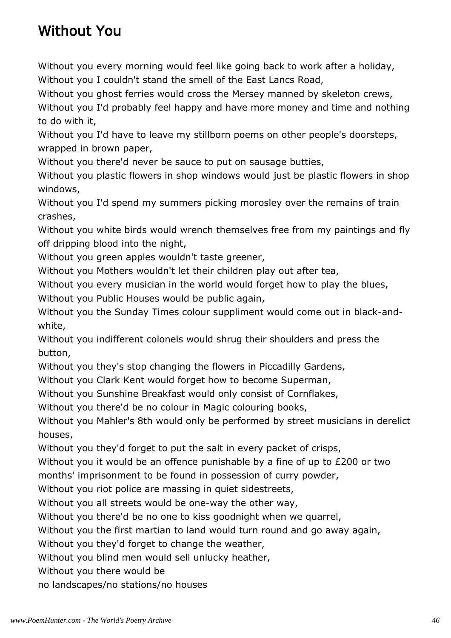# Without You

Without you every morning would feel like going back to work after a holiday, Without you I couldn't stand the smell of the East Lancs Road,

Without you ghost ferries would cross the Mersey manned by skeleton crews, Without you I'd probably feel happy and have more money and time and nothing to do with it,

Without you I'd have to leave my stillborn poems on other people's doorsteps, wrapped in brown paper,

Without you there'd never be sauce to put on sausage butties,

Without you plastic flowers in shop windows would just be plastic flowers in shop windows,

Without you I'd spend my summers picking morosley over the remains of train crashes,

Without you white birds would wrench themselves free from my paintings and fly off dripping blood into the night,

Without you green apples wouldn't taste greener,

Without you Mothers wouldn't let their children play out after tea,

Without you every musician in the world would forget how to play the blues,

Without you Public Houses would be public again,

Without you the Sunday Times colour suppliment would come out in black-andwhite,

Without you indifferent colonels would shrug their shoulders and press the button,

Without you they's stop changing the flowers in Piccadilly Gardens,

Without you Clark Kent would forget how to become Superman,

Without you Sunshine Breakfast would only consist of Cornflakes,

Without you there'd be no colour in Magic colouring books,

Without you Mahler's 8th would only be performed by street musicians in derelict houses,

Without you they'd forget to put the salt in every packet of crisps,

Without you it would be an offence punishable by a fine of up to £200 or two

months' imprisonment to be found in possession of curry powder,

Without you riot police are massing in quiet sidestreets,

Without you all streets would be one-way the other way,

Without you there'd be no one to kiss goodnight when we quarrel,

Without you the first martian to land would turn round and go away again,

Without you they'd forget to change the weather,

Without you blind men would sell unlucky heather,

Without you there would be

no landscapes/no stations/no houses